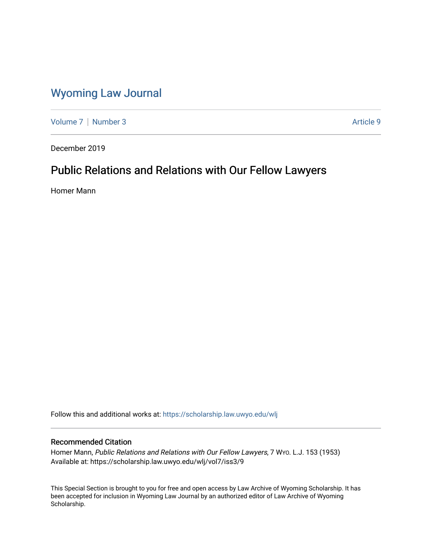## [Wyoming Law Journal](https://scholarship.law.uwyo.edu/wlj)

[Volume 7](https://scholarship.law.uwyo.edu/wlj/vol7) | [Number 3](https://scholarship.law.uwyo.edu/wlj/vol7/iss3) Article 9

December 2019

# Public Relations and Relations with Our Fellow Lawyers

Homer Mann

Follow this and additional works at: [https://scholarship.law.uwyo.edu/wlj](https://scholarship.law.uwyo.edu/wlj?utm_source=scholarship.law.uwyo.edu%2Fwlj%2Fvol7%2Fiss3%2F9&utm_medium=PDF&utm_campaign=PDFCoverPages) 

### Recommended Citation

Homer Mann, Public Relations and Relations with Our Fellow Lawyers, 7 WYO. L.J. 153 (1953) Available at: https://scholarship.law.uwyo.edu/wlj/vol7/iss3/9

This Special Section is brought to you for free and open access by Law Archive of Wyoming Scholarship. It has been accepted for inclusion in Wyoming Law Journal by an authorized editor of Law Archive of Wyoming Scholarship.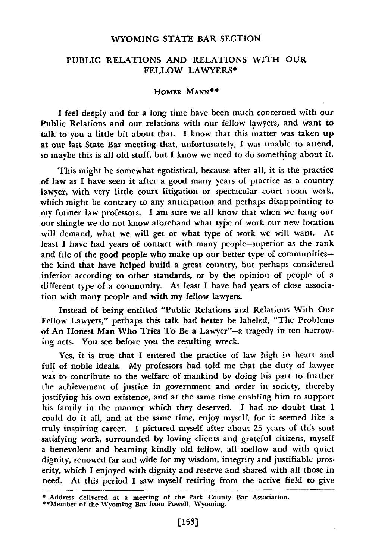#### WYOMING **STATE** BAR **SECTION**

#### PUBLIC RELATIONS **AND** RELATIONS WITH OUR FELLOW LAWYERS\*

#### **HOMER MANN \***

I feel deeply and for a long time have been much concerned with our Public Relations and our relations with our fellow lawyers, and want to talk to you a little bit about that. **I** know that this matter was taken up at our last State Bar meeting that, unfortunately, I was unable to attend, so maybe this is all old stuff, but **I** know we need to do something about it.

This might be somewhat egotistical, because after all, it is the practice of law as **I** have seen it after a good many years of practice as a country lawyer, with very little court litigation or spectacular court room work, which might be contrary to any anticipation and perhaps disappointing to my former law professors. **I** am sure we all know that when we hang out our shingle we do not know aforehand what type **of** work our new location will demand, what we will get or what type of work we will want. At least I have had years of contact with many people-superior as the rank and file of the good people who make up our better type of communitiesthe kind that have helped build a great country, but perhaps considered inferior according to other standards, or **by** the opinion of people of a different type of a community. At least **I** have had years of close association with many people and with my fellow lawyers.

Instead of being entitled "Public Relations and Relations With Our Fellow Lawyers," perhaps this talk had better be labeled, "The Problems of An Honest Man Who Tries To Be a Lawyer"-a tragedy in ten harrowing acts. You see before you the resulting wreck.

Yes, it is true that **I** entered the practice of law high in heart and **ftll** of noble ideals. **My** professors had told me that the duty of lawyer was to contribute to the welfare of mankind **by** doing his part to further the achievement of justice in government and order in society, thereby justifying his own existence, and at the same time enabling him to support his family in the manner which they deserved. **I** had no doubt that **I** could do it all, and at the same time, enjoy myself, for it seemed like a truly inspiring career. **I** pictured myself after about **25** years of this soul satisfying work, surrounded **by** loving clients and grateful citizens, myself a benevolent and beaming kindly old fellow, all mellow and with quiet dignity, renowed far and wide for my wisdom, integrity and justifiable proserity, which **I** enjoyed with dignity and reserve and shared with all those in need. At this period **I** saw myself retiring from the active field to give

Address delivered **at** a meeting of the Park County **Bar** Association. "Member of **the** Wyoming **Bar** from Powell, Wyoming.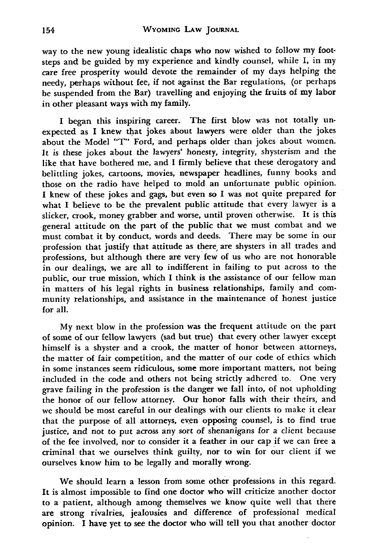way to the new young idealistic chaps who now wished to follow my footsteps and be guided **by** my experience and kindly counsel, while **I,** in my care free prosperity would devote the remainder of my days helping the needy, perhaps without fee, if not against the Bar regulations, (or perhaps be suspended from the Bar) travelling and enjoying the fruits of my labor in other pleasant ways with my family.

**I** began this inspiring career. The first blow was not totally unexpected as I knew that jokes about lawyers were older than the jokes about the Model "T" Ford, and perhaps older than jokes about women. It is these jokes about the lawyers' honesty, integrity, shysterism and the like that have bothered me, and **I** firmly believe that these derogatory and belittling jokes, cartoons, movies, newspaper headlines, funny books and those on the radio have helped to mold an unfortunate public opinion. **I** knew of these jokes and gags, but even so **I** was not quite prepared for what **I** believe to be the prevalent public attitude that every lawyer is a slicker, crook, money grabber and worse, until prover otherwise. It is this general attitude on the part of the public that we must combat and we must combat it **by** conduct, words and deeds. There may be some in our profession that justify that attitude as there, are shysters in all trades and professions, but although there are very few of us who are not honorable in our dealings, we are all to indifferent in failing to put across to the public, our true mission, which I think is the assistance of our fellow man in matters of his legal rights in business relationships, family and community relationships, and assistance in the maintenance of honest justice for all.

My next blow in the profession was the frequent attitude on the part of some of our fellow lawyers (sad but true) that every other lawyer except himself is a shyster and a crook, the matter of honor between attorneys, the matter of fair competition, and the matter of our code of ethics which in some instances seem ridiculous, some more important matters, not being included in the code and others not being strictly adhered to. One very grave failing in the profession is the danger we fall into, of not upholding the honor of our fellow attorney. Our honor falls with their theirs, and we should be most careful in our dealings with our clients to make it clear that the purpose of all attorneys, even opposing counsel, is to find true justice, and not to put across any sort of shenanigans for a client because of the fee involved, nor to consider it a feather in our cap if we can free a criminal that we ourselves think guilty, nor to win for our client if we ourselves know him to be legally and morally wrong.

We should learn a lesson from some other professions in this regard. It is almost impossible to find one doctor who will criticize another doctor to a patient, although among themselves we know quite well that there are strong rivalries, jealousies and difference of professional medical opinion. I have yet to see the doctor who will tell you that another doctor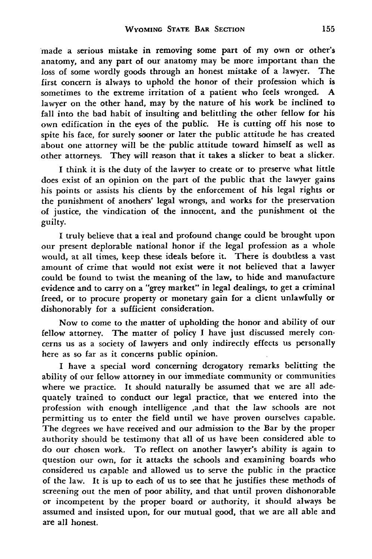made a serious mistake in removing some part of my own or other's anatomy, and any part of our anatomy may be more important than the loss of some wordly goods through an honest mistake of a lawyer. The first concern is always to uphold the honor of their profession which is sometimes to the extreme irritation of a patient who feels wronged. **A** lawyer on the other hand, may by the nature of his work be inclined to fall into the bad habit of insulting and belittling the other fellow for his own edification in the eyes of the public. He is cutting off his nose to spite his face, for surely sooner or later the public attitude he has created about one attorney will be the- public attitude toward himself as well as other attorneys. They will reason that it takes a slicker to beat a slicker.

I think it is the duty of the lawyer to create or to preserve what little does exist of an opinion on the part of the public that the lawyer gains his points or assists his clients by the enforcement of his legal rights or the punishment of anothers' legal wrongs, and works for the preservation of justice, the vindication of the innocent, and the punishment oi the guilty.

I truly believe that a real and profound change could be brought upon our present deplorable national honor if the legal profession as a whole would, at all times, keep these ideals before it. There is doubtless a vast amount of crime that would not exist were it not believed that a lawyer could be found to twist the meaning of the law, to hide and manufacture evidence and to carry on a "grey market" in legal dealings, to get a criminal freed, or to procure property or monetary gain for a client unlawfully or dishonorably for a sufficient consideration.

Now to come to the matter of upholding the honor and ability of our fellow attorney. The matter of policy I have just discussed merely concerns us as a society of lawyers and only indirectly effects us personally here as so far as it concerns public opinion.

I have a special word concerning derogatory remarks belitting the ability of our fellow attorney in our immediate community or communities where we practice. It should naturally be assumed that we are all adequately trained to conduct our legal practice, that we entered into the profession with enough intelligence ,and that the law schools are not permitting us to enter the field until we have proven ourselves capable. The degrees we have received and our admission to the Bar by the proper authority should be testimony that all of us have been considered able to do our chosen work. To reflect on another lawyer's ability is again to question our own, for it attacks the schools and examining boards who considered us capable and allowed us to serve the public in the practice of the law. It is up to each of us to see that he justifies these methods of screening out the men of poor ability, and that until proven dishonorable or incompetent by the proper board or authority, it should always be assumed and insisted upon, for our mutual good, that we are all able and are all honest.